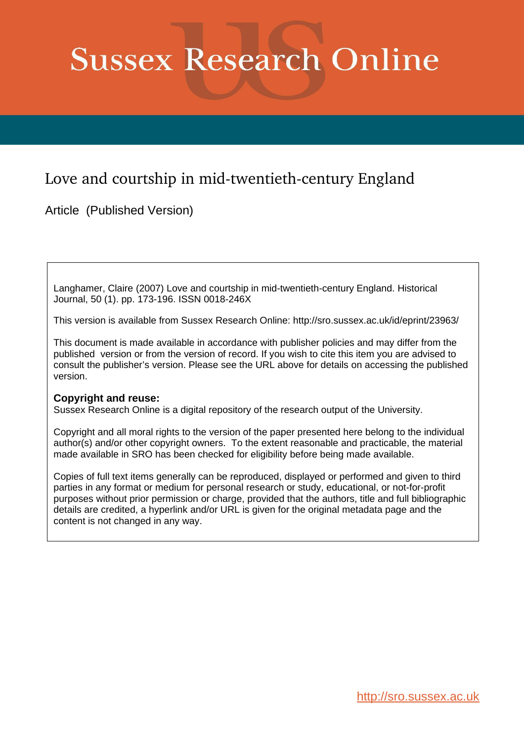# **Sussex Research Online**

## Love and courtship in mid-twentieth-century England

Article (Published Version)

Langhamer, Claire (2007) Love and courtship in mid-twentieth-century England. Historical Journal, 50 (1). pp. 173-196. ISSN 0018-246X

This version is available from Sussex Research Online: http://sro.sussex.ac.uk/id/eprint/23963/

This document is made available in accordance with publisher policies and may differ from the published version or from the version of record. If you wish to cite this item you are advised to consult the publisher's version. Please see the URL above for details on accessing the published version.

### **Copyright and reuse:**

Sussex Research Online is a digital repository of the research output of the University.

Copyright and all moral rights to the version of the paper presented here belong to the individual author(s) and/or other copyright owners. To the extent reasonable and practicable, the material made available in SRO has been checked for eligibility before being made available.

Copies of full text items generally can be reproduced, displayed or performed and given to third parties in any format or medium for personal research or study, educational, or not-for-profit purposes without prior permission or charge, provided that the authors, title and full bibliographic details are credited, a hyperlink and/or URL is given for the original metadata page and the content is not changed in any way.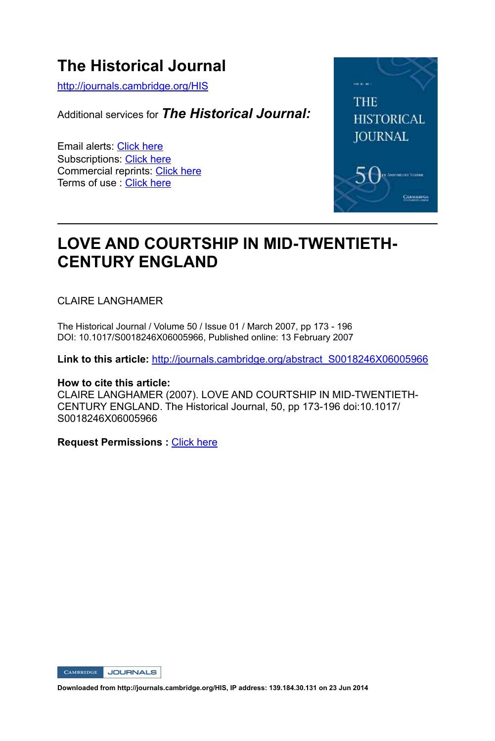## **The Historical Journal**

http://journals.cambridge.org/HIS

Additional services for *The Historical Journal:*

Email alerts: Click here Subscriptions: Click here Commercial reprints: Click here Terms of use : Click here



## **LOVE AND COURTSHIP IN MID-TWENTIETH-CENTURY ENGLAND**

CLAIRE LANGHAMER

The Historical Journal / Volume 50 / Issue 01 / March 2007, pp 173 - 196 DOI: 10.1017/S0018246X06005966, Published online: 13 February 2007

**Link to this article:** http://journals.cambridge.org/abstract\_S0018246X06005966

#### **How to cite this article:**

CLAIRE LANGHAMER (2007). LOVE AND COURTSHIP IN MID-TWENTIETH-CENTURY ENGLAND. The Historical Journal, 50, pp 173-196 doi:10.1017/ S0018246X06005966

**Request Permissions :** Click here

CAMBRIDGE JOURNALS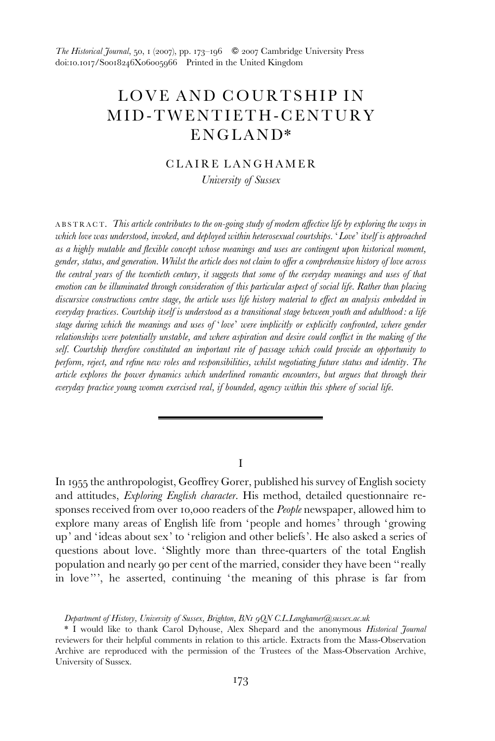The Historical Journal, 50, 1 (2007), pp. 173-196 *C* 2007 Cambridge University Press doi:10.1017/S0018246X06005966 Printed in the United Kingdom

## LOVE AND COURTSHIP IN MID-TWENTIETH-CENTURY ENGLAND\*

#### CLAIRE LANGHAMER

University of Sussex

ABSTRACT. This article contributes to the on-going study of modern affective life by exploring the ways in which love was understood, invoked, and deployed within heterosexual courtships. 'Love' itself is approached as a highly mutable and flexible concept whose meanings and uses are contingent upon historical moment, gender, status, and generation. Whilst the article does not claim to offer a comprehensive history of love across the central years of the twentieth century, it suggests that some of the everyday meanings and uses of that emotion can be illuminated through consideration of this particular aspect of social life. Rather than placing discursive constructions centre stage, the article uses life history material to effect an analysis embedded in everyday practices. Courtship itself is understood as a transitional stage between youth and adulthood: a life stage during which the meanings and uses of 'love' were implicitly or explicitly confronted, where gender relationships were potentially unstable, and where aspiration and desire could conflict in the making of the self. Courtship therefore constituted an important rite of passage which could provide an opportunity to perform, reject, and refine new roles and responsibilities, whilst negotiating future status and identity. The article explores the power dynamics which underlined romantic encounters, but argues that through their everyday practice young women exercised real, if bounded, agency within this sphere of social life.

I

In 1955 the anthropologist, Geoffrey Gorer, published his survey of English society and attitudes, Exploring English character. His method, detailed questionnaire responses received from over 10,000 readers of the People newspaper, allowed him to explore many areas of English life from 'people and homes' through 'growing up' and 'ideas about sex' to ' religion and other beliefs'. He also asked a series of questions about love. 'Slightly more than three-quarters of the total English population and nearly 90 per cent of the married, consider they have been '' really in love''', he asserted, continuing 'the meaning of this phrase is far from

Department of History, University of Sussex, Brighton, BN1 9QN C.L.Langhamer@sussex.ac.uk

<sup>\*</sup> I would like to thank Carol Dyhouse, Alex Shepard and the anonymous Historical Journal reviewers for their helpful comments in relation to this article. Extracts from the Mass-Observation Archive are reproduced with the permission of the Trustees of the Mass-Observation Archive, University of Sussex.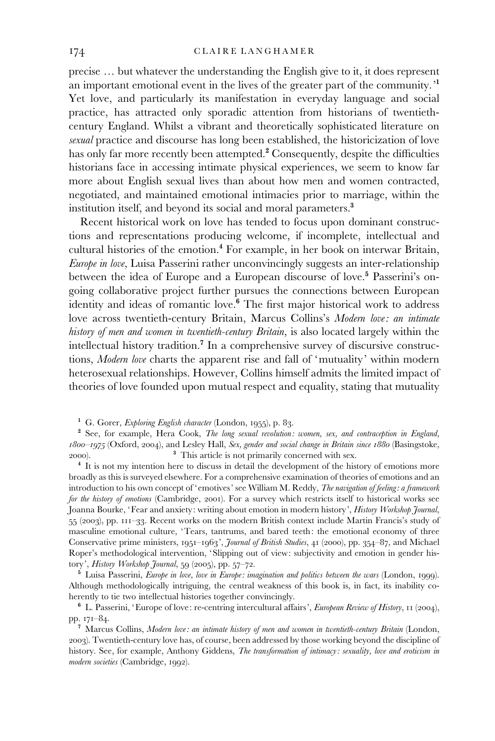precise … but whatever the understanding the English give to it, it does represent an important emotional event in the lives of the greater part of the community.<sup>1</sup> Yet love, and particularly its manifestation in everyday language and social practice, has attracted only sporadic attention from historians of twentiethcentury England. Whilst a vibrant and theoretically sophisticated literature on sexual practice and discourse has long been established, the historicization of love has only far more recently been attempted.<sup>2</sup> Consequently, despite the difficulties historians face in accessing intimate physical experiences, we seem to know far more about English sexual lives than about how men and women contracted, negotiated, and maintained emotional intimacies prior to marriage, within the institution itself, and beyond its social and moral parameters.<sup>3</sup>

Recent historical work on love has tended to focus upon dominant constructions and representations producing welcome, if incomplete, intellectual and cultural histories of the emotion.<sup>4</sup> For example, in her book on interwar Britain, Europe in love, Luisa Passerini rather unconvincingly suggests an inter-relationship between the idea of Europe and a European discourse of love.<sup>5</sup> Passerini's ongoing collaborative project further pursues the connections between European identity and ideas of romantic love.<sup>6</sup> The first major historical work to address love across twentieth-century Britain, Marcus Collins's Modern love: an intimate history of men and women in twentieth-century Britain, is also located largely within the intellectual history tradition.<sup>7</sup> In a comprehensive survey of discursive constructions, Modern love charts the apparent rise and fall of 'mutuality' within modern heterosexual relationships. However, Collins himself admits the limited impact of theories of love founded upon mutual respect and equality, stating that mutuality

<sup>1</sup> G. Gorer, *Exploring English character* (London, 1955), p. 83.

<sup>2</sup> See, for example, Hera Cook, The long sexual revolution: women, sex, and contraception in England, 1800–1975 (Oxford, 2004), and Lesley Hall, Sex, gender and social change in Britain since 1880 (Basingstoke, 2000). <sup>3</sup> This article is not primarily concerned with sex.

<sup>4</sup> It is not my intention here to discuss in detail the development of the history of emotions more broadly as this is surveyed elsewhere. For a comprehensive examination of theories of emotions and an introduction to his own concept of 'emotives' see William M. Reddy, The navigation of feeling: a framework for the history of emotions (Cambridge, 2001). For a survey which restricts itself to historical works see Joanna Bourke, 'Fear and anxiety: writing about emotion in modern history', History Workshop Journal, 55 (2003), pp. 111–33. Recent works on the modern British context include Martin Francis's study of masculine emotional culture, 'Tears, tantrums, and bared teeth: the emotional economy of three Conservative prime ministers, 1951–1963', Journal of British Studies, 41 (2000), pp. 354–87, and Michael Roper's methodological intervention, 'Slipping out of view: subjectivity and emotion in gender history', History Workshop Journal, 59 (2005), pp. 57–72.

<sup>5</sup> Luisa Passerini, *Europe in love, love in Europe: imagination and politics between the wars* (London, 1999). Although methodologically intriguing, the central weakness of this book is, in fact, its inability coherently to tie two intellectual histories together convincingly.

<sup>6</sup> L. Passerini, 'Europe of love: re-centring intercultural affairs', European Review of History, 11 (2004), pp. 171–84.

<sup>7</sup> Marcus Collins, Modern love: an intimate history of men and women in twentieth-century Britain (London, 2003). Twentieth-century love has, of course, been addressed by those working beyond the discipline of history. See, for example, Anthony Giddens, The transformation of intimacy: sexuality, love and eroticism in modern societies (Cambridge, 1992).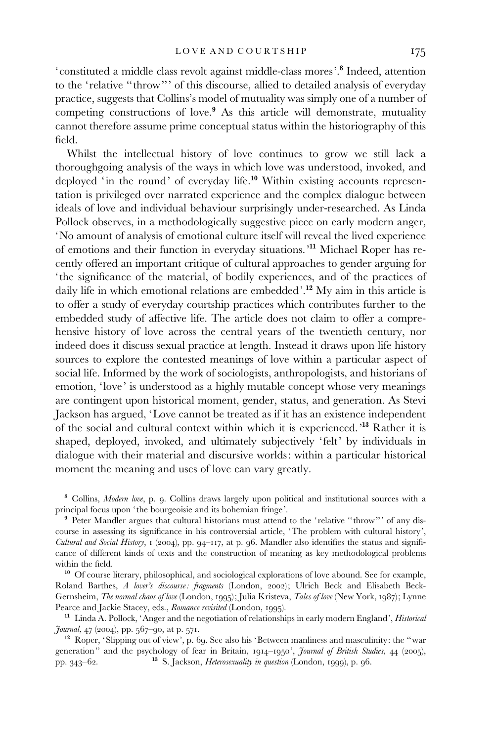'constituted a middle class revolt against middle-class mores'.<sup>8</sup> Indeed, attention to the 'relative "throw"' of this discourse, allied to detailed analysis of everyday practice, suggests that Collins's model of mutuality was simply one of a number of competing constructions of love.<sup>9</sup> As this article will demonstrate, mutuality cannot therefore assume prime conceptual status within the historiography of this field.

Whilst the intellectual history of love continues to grow we still lack a thoroughgoing analysis of the ways in which love was understood, invoked, and deployed 'in the round' of everyday life.<sup>10</sup> Within existing accounts representation is privileged over narrated experience and the complex dialogue between ideals of love and individual behaviour surprisingly under-researched. As Linda Pollock observes, in a methodologically suggestive piece on early modern anger, 'No amount of analysis of emotional culture itself will reveal the lived experience of emotions and their function in everyday situations.'<sup>11</sup> Michael Roper has recently offered an important critique of cultural approaches to gender arguing for 'the significance of the material, of bodily experiences, and of the practices of daily life in which emotional relations are embedded'.<sup>12</sup> My aim in this article is to offer a study of everyday courtship practices which contributes further to the embedded study of affective life. The article does not claim to offer a comprehensive history of love across the central years of the twentieth century, nor indeed does it discuss sexual practice at length. Instead it draws upon life history sources to explore the contested meanings of love within a particular aspect of social life. Informed by the work of sociologists, anthropologists, and historians of emotion, 'love' is understood as a highly mutable concept whose very meanings are contingent upon historical moment, gender, status, and generation. As Stevi Jackson has argued, 'Love cannot be treated as if it has an existence independent of the social and cultural context within which it is experienced.'<sup>13</sup> Rather it is shaped, deployed, invoked, and ultimately subjectively 'felt' by individuals in dialogue with their material and discursive worlds: within a particular historical moment the meaning and uses of love can vary greatly.

<sup>8</sup> Collins, Modern love, p. 9. Collins draws largely upon political and institutional sources with a principal focus upon 'the bourgeoisie and its bohemian fringe'.

<sup>9</sup> Peter Mandler argues that cultural historians must attend to the ' relative ''throw''' of any discourse in assessing its significance in his controversial article, 'The problem with cultural history', Cultural and Social History,  $1 (2004)$ , pp.  $94-117$ , at p. 96. Mandler also identifies the status and significance of different kinds of texts and the construction of meaning as key methodological problems within the field.

<sup>10</sup> Of course literary, philosophical, and sociological explorations of love abound. See for example, Roland Barthes, A lover's discourse: fragments (London, 2002); Ulrich Beck and Elisabeth Beck-Gernsheim, The normal chaos of love (London, 1995); Julia Kristeva, Tales of love (New York, 1987); Lynne Pearce and Jackie Stacey, eds., Romance revisited (London, 1995).

 $11$  Linda A. Pollock, 'Anger and the negotiation of relationships in early modern England', *Historical* Journal, 47 (2004), pp. 567–90, at p. 571.

<sup>12</sup> Roper, 'Slipping out of view', p. 69. See also his 'Between manliness and masculinity: the ''war generation'' and the psychology of fear in Britain, 1914–1950', Journal of British Studies, 44 (2005), pp. 343–62. <sup>13</sup> S. Jackson, *Heterosexuality in question* (London, 1999), p. 96.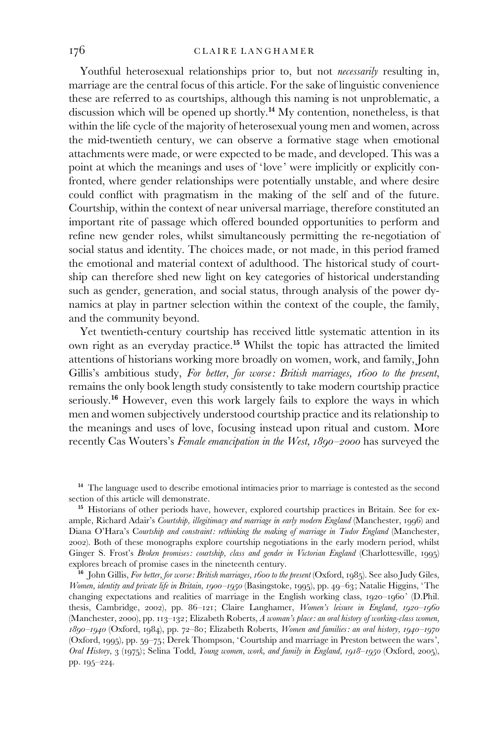Youthful heterosexual relationships prior to, but not *necessarily* resulting in, marriage are the central focus of this article. For the sake of linguistic convenience these are referred to as courtships, although this naming is not unproblematic, a discussion which will be opened up shortly.<sup>14</sup> My contention, nonetheless, is that within the life cycle of the majority of heterosexual young men and women, across the mid-twentieth century, we can observe a formative stage when emotional attachments were made, or were expected to be made, and developed. This was a point at which the meanings and uses of 'love' were implicitly or explicitly confronted, where gender relationships were potentially unstable, and where desire could conflict with pragmatism in the making of the self and of the future. Courtship, within the context of near universal marriage, therefore constituted an important rite of passage which offered bounded opportunities to perform and refine new gender roles, whilst simultaneously permitting the re-negotiation of social status and identity. The choices made, or not made, in this period framed the emotional and material context of adulthood. The historical study of courtship can therefore shed new light on key categories of historical understanding such as gender, generation, and social status, through analysis of the power dynamics at play in partner selection within the context of the couple, the family, and the community beyond.

Yet twentieth-century courtship has received little systematic attention in its own right as an everyday practice.<sup>15</sup> Whilst the topic has attracted the limited attentions of historians working more broadly on women, work, and family, John Gillis's ambitious study, For better, for worse: British marriages, 1600 to the present, remains the only book length study consistently to take modern courtship practice seriously.<sup>16</sup> However, even this work largely fails to explore the ways in which men and women subjectively understood courtship practice and its relationship to the meanings and uses of love, focusing instead upon ritual and custom. More recently Cas Wouters's Female emancipation in the West, 1890-2000 has surveyed the

<sup>14</sup> The language used to describe emotional intimacies prior to marriage is contested as the second section of this article will demonstrate.

<sup>15</sup> Historians of other periods have, however, explored courtship practices in Britain. See for example, Richard Adair's Courtship, illegitimacy and marriage in early modern England (Manchester, 1996) and Diana O'Hara's Courtship and constraint: rethinking the making of marriage in Tudor England (Manchester, 2002). Both of these monographs explore courtship negotiations in the early modern period, whilst Ginger S. Frost's Broken promises: courtship, class and gender in Victorian England (Charlottesville, 1995) explores breach of promise cases in the nineteenth century.

<sup>16</sup> John Gillis, For better, for worse: British marriages, 1600 to the present (Oxford, 1985). See also Judy Giles, Women, identity and private life in Britain, 1900–1950 (Basingstoke, 1995), pp. 49–63; Natalie Higgins, 'The changing expectations and realities of marriage in the English working class, 1920–1960' (D.Phil. thesis, Cambridge, 2002), pp. 86-121; Claire Langhamer, Women's leisure in England, 1920-1960 (Manchester, 2000), pp. 113–132; Elizabeth Roberts, A woman's place: an oral history of working-class women, 1890–1940 (Oxford, 1984), pp. 72–80; Elizabeth Roberts, Women and families: an oral history, 1940–1970 (Oxford, 1995), pp. 59–75; Derek Thompson, 'Courtship and marriage in Preston between the wars', Oral History, 3 (1975); Selina Todd, Young women, work, and family in England, 1918–1950 (Oxford, 2005), pp. 195–224.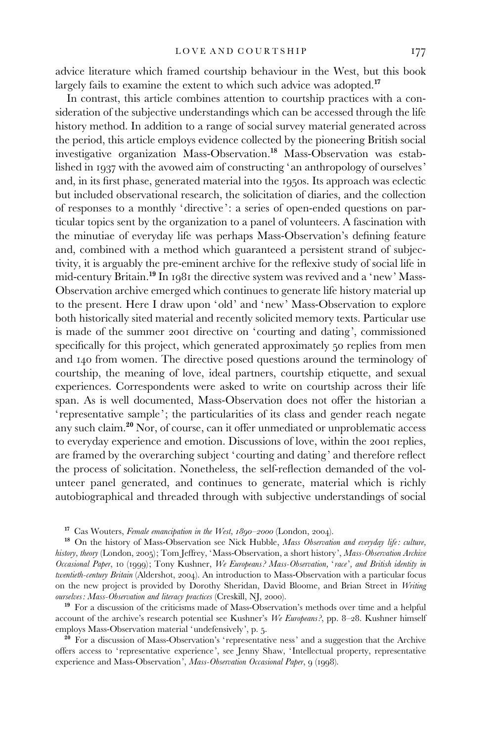advice literature which framed courtship behaviour in the West, but this book largely fails to examine the extent to which such advice was adopted.<sup>17</sup>

In contrast, this article combines attention to courtship practices with a consideration of the subjective understandings which can be accessed through the life history method. In addition to a range of social survey material generated across the period, this article employs evidence collected by the pioneering British social investigative organization Mass-Observation.<sup>18</sup> Mass-Observation was established in 1937 with the avowed aim of constructing 'an anthropology of ourselves' and, in its first phase, generated material into the 1950s. Its approach was eclectic but included observational research, the solicitation of diaries, and the collection of responses to a monthly 'directive': a series of open-ended questions on particular topics sent by the organization to a panel of volunteers. A fascination with the minutiae of everyday life was perhaps Mass-Observation's defining feature and, combined with a method which guaranteed a persistent strand of subjectivity, it is arguably the pre-eminent archive for the reflexive study of social life in mid-century Britain.<sup>19</sup> In 1981 the directive system was revived and a 'new' Mass-Observation archive emerged which continues to generate life history material up to the present. Here I draw upon 'old' and 'new' Mass-Observation to explore both historically sited material and recently solicited memory texts. Particular use is made of the summer 2001 directive on 'courting and dating', commissioned specifically for this project, which generated approximately 50 replies from men and 140 from women. The directive posed questions around the terminology of courtship, the meaning of love, ideal partners, courtship etiquette, and sexual experiences. Correspondents were asked to write on courtship across their life span. As is well documented, Mass-Observation does not offer the historian a ' representative sample'; the particularities of its class and gender reach negate any such claim.<sup>20</sup> Nor, of course, can it offer unmediated or unproblematic access to everyday experience and emotion. Discussions of love, within the 2001 replies, are framed by the overarching subject 'courting and dating' and therefore reflect the process of solicitation. Nonetheless, the self-reflection demanded of the volunteer panel generated, and continues to generate, material which is richly autobiographical and threaded through with subjective understandings of social

<sup>17</sup> Cas Wouters, Female emancipation in the West,  $1890-2000$  (London, 2004).

<sup>18</sup> On the history of Mass-Observation see Nick Hubble, Mass Observation and everyday life: culture, history, theory (London, 2005); Tom Jeffrey, 'Mass-Observation, a short history', Mass-Observation Archive Occasional Paper, 10 (1999); Tony Kushner, We Europeans? Mass-Observation, 'race', and British identity in twentieth-century Britain (Aldershot, 2004). An introduction to Mass-Observation with a particular focus on the new project is provided by Dorothy Sheridan, David Bloome, and Brian Street in Writing ourselves: Mass-Observation and literacy practices (Creskill, NJ, 2000).

<sup>19</sup> For a discussion of the criticisms made of Mass-Observation's methods over time and a helpful account of the archive's research potential see Kushner's We Europeans?, pp. 8-28. Kushner himself employs Mass-Observation material 'undefensively', p. 5.

<sup>20</sup> For a discussion of Mass-Observation's 'representative ness' and a suggestion that the Archive offers access to ' representative experience', see Jenny Shaw, ' Intellectual property, representative experience and Mass-Observation', Mass-Observation Occasional Paper, 9 (1998).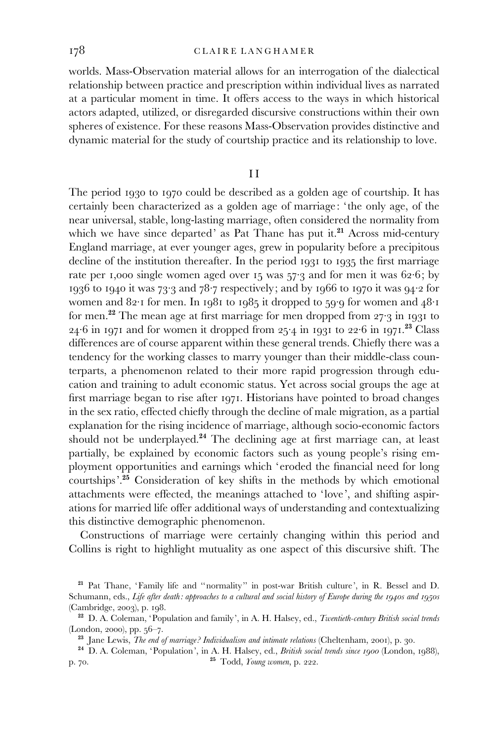worlds. Mass-Observation material allows for an interrogation of the dialectical relationship between practice and prescription within individual lives as narrated at a particular moment in time. It offers access to the ways in which historical actors adapted, utilized, or disregarded discursive constructions within their own spheres of existence. For these reasons Mass-Observation provides distinctive and dynamic material for the study of courtship practice and its relationship to love.

#### I I

The period 1930 to 1970 could be described as a golden age of courtship. It has certainly been characterized as a golden age of marriage: 'the only age, of the near universal, stable, long-lasting marriage, often considered the normality from which we have since departed' as Pat Thane has put it. $^{21}$  Across mid-century England marriage, at ever younger ages, grew in popularity before a precipitous decline of the institution thereafter. In the period 1931 to 1935 the first marriage rate per 1,000 single women aged over 15 was 57.3 and for men it was 62.6; by 1936 to 1940 it was 73.3 and 78.7 respectively; and by 1966 to 1970 it was 94.2 for women and 82.1 for men. In 1981 to 1985 it dropped to 59.9 for women and 48.1 for men.<sup>22</sup> The mean age at first marriage for men dropped from 27.3 in 1931 to 24.6 in 1971 and for women it dropped from 25.4 in 1931 to 22.6 in 1971.<sup>23</sup> Class differences are of course apparent within these general trends. Chiefly there was a tendency for the working classes to marry younger than their middle-class counterparts, a phenomenon related to their more rapid progression through education and training to adult economic status. Yet across social groups the age at first marriage began to rise after 1971. Historians have pointed to broad changes in the sex ratio, effected chiefly through the decline of male migration, as a partial explanation for the rising incidence of marriage, although socio-economic factors should not be underplayed.<sup>24</sup> The declining age at first marriage can, at least partially, be explained by economic factors such as young people's rising employment opportunities and earnings which 'eroded the financial need for long courtships'.<sup>25</sup> Consideration of key shifts in the methods by which emotional attachments were effected, the meanings attached to 'love', and shifting aspirations for married life offer additional ways of understanding and contextualizing this distinctive demographic phenomenon.

Constructions of marriage were certainly changing within this period and Collins is right to highlight mutuality as one aspect of this discursive shift. The

 $23$  Jane Lewis, The end of marriage? Individualism and intimate relations (Cheltenham, 2001), p. 30.

<sup>24</sup> D. A. Coleman, 'Population', in A. H. Halsey, ed., *British social trends since 1900* (London, 1988), p. 70. <sup>25</sup> Todd, Young women, p. 222.

<sup>21</sup> Pat Thane, 'Family life and ''normality'' in post-war British culture', in R. Bessel and D. Schumann, eds., Life after death: approaches to a cultural and social history of Europe during the 1940s and 1950s (Cambridge, 2003), p. 198.

<sup>&</sup>lt;sup>22</sup> D. A. Coleman, 'Population and family', in A. H. Halsey, ed., Twentieth-century British social trends (London, 2000), pp. 56–7.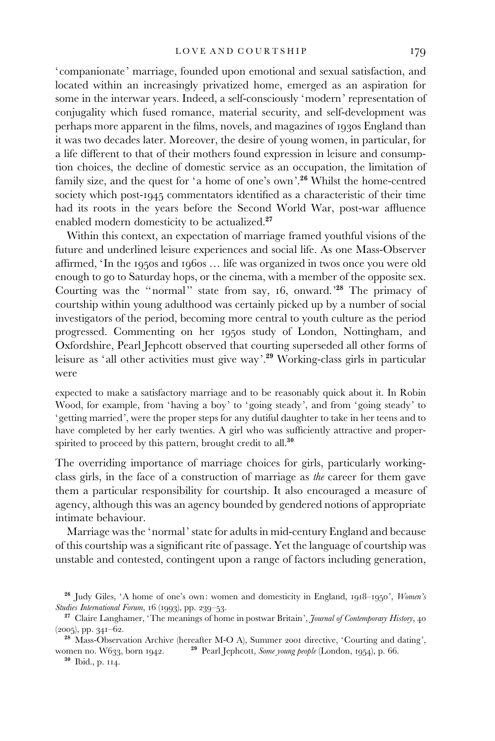'companionate' marriage, founded upon emotional and sexual satisfaction, and located within an increasingly privatized home, emerged as an aspiration for some in the interwar years. Indeed, a self-consciously 'modern' representation of conjugality which fused romance, material security, and self-development was perhaps more apparent in the films, novels, and magazines of 1930s England than it was two decades later. Moreover, the desire of young women, in particular, for a life different to that of their mothers found expression in leisure and consumption choices, the decline of domestic service as an occupation, the limitation of family size, and the quest for 'a home of one's own'.<sup>26</sup> Whilst the home-centred society which post-1945 commentators identified as a characteristic of their time had its roots in the years before the Second World War, post-war affluence enabled modern domesticity to be actualized.<sup>27</sup>

Within this context, an expectation of marriage framed youthful visions of the future and underlined leisure experiences and social life. As one Mass-Observer affirmed, ' In the 1950s and 1960s … life was organized in twos once you were old enough to go to Saturday hops, or the cinema, with a member of the opposite sex. Courting was the ''normal'' state from say, 16, onward.'<sup>28</sup> The primacy of courtship within young adulthood was certainly picked up by a number of social investigators of the period, becoming more central to youth culture as the period progressed. Commenting on her 1950s study of London, Nottingham, and Oxfordshire, Pearl Jephcott observed that courting superseded all other forms of leisure as 'all other activities must give way'.<sup>29</sup> Working-class girls in particular were

expected to make a satisfactory marriage and to be reasonably quick about it. In Robin Wood, for example, from 'having a boy' to 'going steady', and from 'going steady' to 'getting married', were the proper steps for any dutiful daughter to take in her teens and to have completed by her early twenties. A girl who was sufficiently attractive and properspirited to proceed by this pattern, brought credit to all.<sup>30</sup>

The overriding importance of marriage choices for girls, particularly workingclass girls, in the face of a construction of marriage as the career for them gave them a particular responsibility for courtship. It also encouraged a measure of agency, although this was an agency bounded by gendered notions of appropriate intimate behaviour.

Marriage was the 'normal' state for adults in mid-century England and because of this courtship was a significant rite of passage. Yet the language of courtship was unstable and contested, contingent upon a range of factors including generation,

<sup>30</sup> Ibid., p. 114.

<sup>&</sup>lt;sup>26</sup> Judy Giles, 'A home of one's own: women and domesticity in England, 1918–1950', Women's Studies International Forum, 16 (1993), pp. 239–53.

<sup>&</sup>lt;sup>27</sup> Claire Langhamer, 'The meanings of home in postwar Britain', Journal of Contemporary History, 40 (2005), pp. 341–62.

<sup>28</sup> Mass-Observation Archive (hereafter M-O A), Summer 2001 directive, 'Courting and dating', women no. W633, born 1942. <sup>29</sup> Pearl Jephcott, Some young people (London, 1954), p. 66.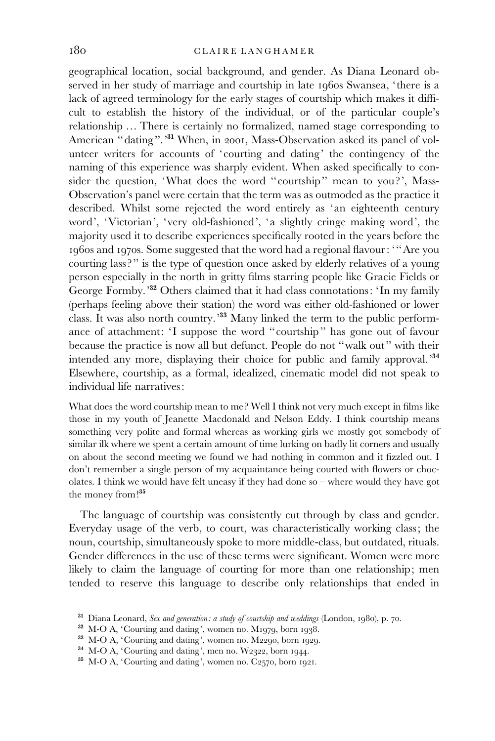geographical location, social background, and gender. As Diana Leonard observed in her study of marriage and courtship in late 1960s Swansea, 'there is a lack of agreed terminology for the early stages of courtship which makes it difficult to establish the history of the individual, or of the particular couple's relationship … There is certainly no formalized, named stage corresponding to American "dating".'31 When, in 2001, Mass-Observation asked its panel of volunteer writers for accounts of 'courting and dating' the contingency of the naming of this experience was sharply evident. When asked specifically to consider the question, 'What does the word "courtship" mean to you?', Mass-Observation's panel were certain that the term was as outmoded as the practice it described. Whilst some rejected the word entirely as 'an eighteenth century word', 'Victorian', 'very old-fashioned', 'a slightly cringe making word', the majority used it to describe experiences specifically rooted in the years before the 1960s and 1970s. Some suggested that the word had a regional flavour: '''Are you courting lass?" is the type of question once asked by elderly relatives of a young person especially in the north in gritty films starring people like Gracie Fields or George Formby.'<sup>32</sup> Others claimed that it had class connotations: ' In my family (perhaps feeling above their station) the word was either old-fashioned or lower class. It was also north country.'<sup>33</sup> Many linked the term to the public performance of attachment: 'I suppose the word "courtship" has gone out of favour because the practice is now all but defunct. People do not ''walk out'' with their intended any more, displaying their choice for public and family approval.'<sup>34</sup> Elsewhere, courtship, as a formal, idealized, cinematic model did not speak to individual life narratives:

What does the word courtship mean to me? Well I think not very much except in films like those in my youth of Jeanette Macdonald and Nelson Eddy. I think courtship means something very polite and formal whereas as working girls we mostly got somebody of similar ilk where we spent a certain amount of time lurking on badly lit corners and usually on about the second meeting we found we had nothing in common and it fizzled out. I don't remember a single person of my acquaintance being courted with flowers or chocolates. I think we would have felt uneasy if they had done so – where would they have got the money from!<sup>35</sup>

The language of courtship was consistently cut through by class and gender. Everyday usage of the verb, to court, was characteristically working class; the noun, courtship, simultaneously spoke to more middle-class, but outdated, rituals. Gender differences in the use of these terms were significant. Women were more likely to claim the language of courting for more than one relationship; men tended to reserve this language to describe only relationships that ended in

<sup>&</sup>lt;sup>31</sup> Diana Leonard, Sex and generation: a study of courtship and weddings (London, 1980), p. 70.

<sup>32</sup> M-O A, 'Courting and dating', women no. M1979, born 1938.

<sup>33</sup> M-O A, 'Courting and dating', women no. M2290, born 1929.

<sup>34</sup> M-O A, 'Courting and dating', men no. W2322, born 1944.

<sup>35</sup> M-O A, 'Courting and dating', women no. C2570, born 1921.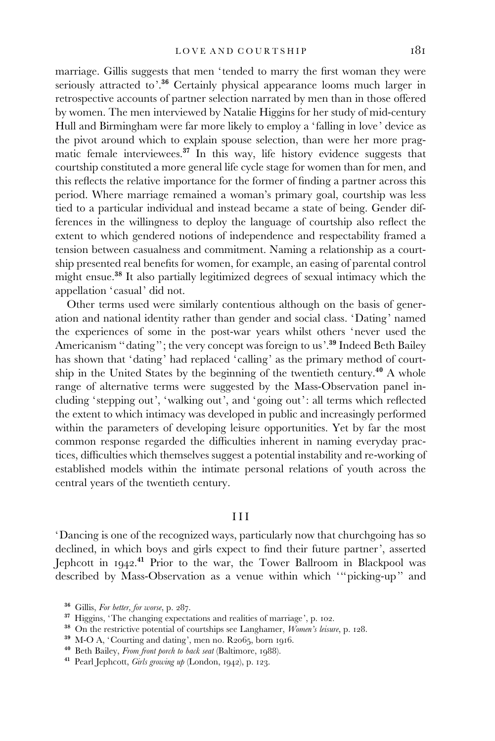marriage. Gillis suggests that men 'tended to marry the first woman they were seriously attracted to'.<sup>36</sup> Certainly physical appearance looms much larger in retrospective accounts of partner selection narrated by men than in those offered by women. The men interviewed by Natalie Higgins for her study of mid-century Hull and Birmingham were far more likely to employ a 'falling in love' device as the pivot around which to explain spouse selection, than were her more pragmatic female interviewees.<sup>37</sup> In this way, life history evidence suggests that courtship constituted a more general life cycle stage for women than for men, and this reflects the relative importance for the former of finding a partner across this period. Where marriage remained a woman's primary goal, courtship was less tied to a particular individual and instead became a state of being. Gender differences in the willingness to deploy the language of courtship also reflect the extent to which gendered notions of independence and respectability framed a tension between casualness and commitment. Naming a relationship as a courtship presented real benefits for women, for example, an easing of parental control might ensue.<sup>38</sup> It also partially legitimized degrees of sexual intimacy which the appellation 'casual' did not.

Other terms used were similarly contentious although on the basis of generation and national identity rather than gender and social class. 'Dating' named the experiences of some in the post-war years whilst others 'never used the Americanism "dating"; the very concept was foreign to us'.<sup>39</sup> Indeed Beth Bailey has shown that 'dating' had replaced 'calling' as the primary method of courtship in the United States by the beginning of the twentieth century.<sup>40</sup> A whole range of alternative terms were suggested by the Mass-Observation panel including ' stepping out', 'walking out', and 'going out': all terms which reflected the extent to which intimacy was developed in public and increasingly performed within the parameters of developing leisure opportunities. Yet by far the most common response regarded the difficulties inherent in naming everyday practices, difficulties which themselves suggest a potential instability and re-working of established models within the intimate personal relations of youth across the central years of the twentieth century.

#### III

'Dancing is one of the recognized ways, particularly now that churchgoing has so declined, in which boys and girls expect to find their future partner', asserted Jephcott in 1942.<sup>41</sup> Prior to the war, the Tower Ballroom in Blackpool was described by Mass-Observation as a venue within which '''picking-up'' and

<sup>36</sup> Gillis, For better, for worse, p. 287.

<sup>37</sup> Higgins, 'The changing expectations and realities of marriage', p. 102.

<sup>&</sup>lt;sup>38</sup> On the restrictive potential of courtships see Langhamer, *Women's leisure*, p. 128.

<sup>39</sup> M-O A, 'Courting and dating', men no. R2065, born 1916.

<sup>40</sup> Beth Bailey, From front porch to back seat (Baltimore, 1988).

<sup>41</sup> Pearl Jephcott, Girls growing up (London, 1942), p. 123.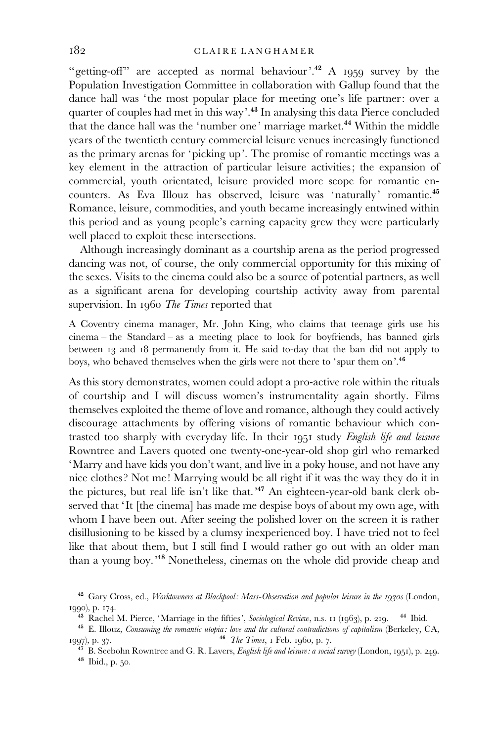"getting-off" are accepted as normal behaviour'.<sup>42</sup> A 1959 survey by the Population Investigation Committee in collaboration with Gallup found that the dance hall was 'the most popular place for meeting one's life partner: over a quarter of couples had met in this way'.<sup>43</sup> In analysing this data Pierce concluded that the dance hall was the 'number one' marriage market.<sup>44</sup> Within the middle years of the twentieth century commercial leisure venues increasingly functioned as the primary arenas for 'picking up'. The promise of romantic meetings was a key element in the attraction of particular leisure activities; the expansion of commercial, youth orientated, leisure provided more scope for romantic encounters. As Eva Illouz has observed, leisure was 'naturally' romantic.<sup>45</sup> Romance, leisure, commodities, and youth became increasingly entwined within this period and as young people's earning capacity grew they were particularly well placed to exploit these intersections.

Although increasingly dominant as a courtship arena as the period progressed dancing was not, of course, the only commercial opportunity for this mixing of the sexes. Visits to the cinema could also be a source of potential partners, as well as a significant arena for developing courtship activity away from parental supervision. In 1960 The Times reported that

A Coventry cinema manager, Mr. John King, who claims that teenage girls use his cinema – the Standard – as a meeting place to look for boyfriends, has banned girls between 13 and 18 permanently from it. He said to-day that the ban did not apply to boys, who behaved themselves when the girls were not there to 'spur them on'.<sup>46</sup>

As this story demonstrates, women could adopt a pro-active role within the rituals of courtship and I will discuss women's instrumentality again shortly. Films themselves exploited the theme of love and romance, although they could actively discourage attachments by offering visions of romantic behaviour which contrasted too sharply with everyday life. In their 1951 study English life and leisure Rowntree and Lavers quoted one twenty-one-year-old shop girl who remarked 'Marry and have kids you don't want, and live in a poky house, and not have any nice clothes ? Not me! Marrying would be all right if it was the way they do it in the pictures, but real life isn't like that.<sup>47</sup> An eighteen-year-old bank clerk observed that 'It [the cinema] has made me despise boys of about my own age, with whom I have been out. After seeing the polished lover on the screen it is rather disillusioning to be kissed by a clumsy inexperienced boy. I have tried not to feel like that about them, but I still find I would rather go out with an older man than a young boy.'<sup>48</sup> Nonetheless, cinemas on the whole did provide cheap and

<sup>&</sup>lt;sup>42</sup> Gary Cross, ed., *Worktowners at Blackpool: Mass-Observation and popular leisure in the 1930s* (London, 1990), p. 174.

<sup>&</sup>lt;sup>43</sup> Rachel M. Pierce, 'Marriage in the fifties', Sociological Review, n.s. 11 (1963), p. 219. <sup>44</sup> Ibid.

<sup>&</sup>lt;sup>45</sup> E. Illouz, Consuming the romantic utopia: love and the cultural contradictions of capitalism (Berkeley, CA, 1997), p. 37.  $\frac{46}{h}$  The Times, 1 Feb. 1960, p. 7.

 $^{47}$  B. Seebohn Rowntree and G. R. Lavers, *English life and leisure: a social survey* (London, 1951), p. 249. <sup>48</sup> Ibid., p. 50.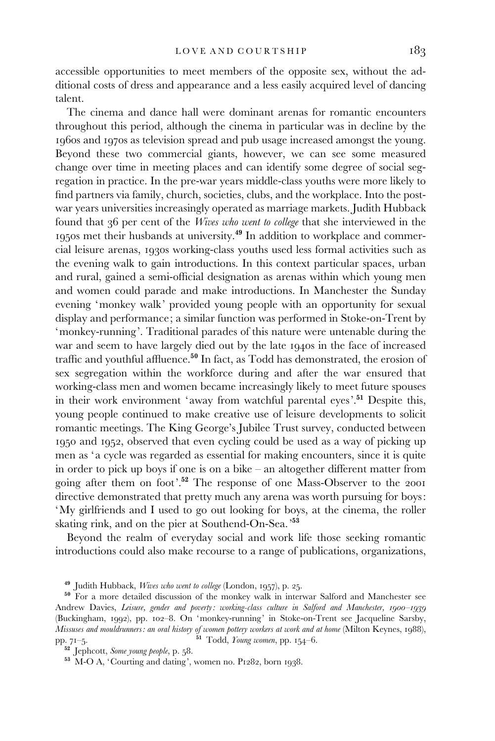accessible opportunities to meet members of the opposite sex, without the additional costs of dress and appearance and a less easily acquired level of dancing talent.

The cinema and dance hall were dominant arenas for romantic encounters throughout this period, although the cinema in particular was in decline by the 1960s and 1970s as television spread and pub usage increased amongst the young. Beyond these two commercial giants, however, we can see some measured change over time in meeting places and can identify some degree of social segregation in practice. In the pre-war years middle-class youths were more likely to find partners via family, church, societies, clubs, and the workplace. Into the postwar years universities increasingly operated as marriage markets. Judith Hubback found that 36 per cent of the Wives who went to college that she interviewed in the 1950s met their husbands at university.<sup>49</sup> In addition to workplace and commercial leisure arenas, 1930s working-class youths used less formal activities such as the evening walk to gain introductions. In this context particular spaces, urban and rural, gained a semi-official designation as arenas within which young men and women could parade and make introductions. In Manchester the Sunday evening 'monkey walk' provided young people with an opportunity for sexual display and performance; a similar function was performed in Stoke-on-Trent by 'monkey-running'. Traditional parades of this nature were untenable during the war and seem to have largely died out by the late 1940s in the face of increased traffic and youthful affluence.<sup>50</sup> In fact, as Todd has demonstrated, the erosion of sex segregation within the workforce during and after the war ensured that working-class men and women became increasingly likely to meet future spouses in their work environment 'away from watchful parental eyes'.<sup>51</sup> Despite this, young people continued to make creative use of leisure developments to solicit romantic meetings. The King George's Jubilee Trust survey, conducted between 1950 and 1952, observed that even cycling could be used as a way of picking up men as 'a cycle was regarded as essential for making encounters, since it is quite in order to pick up boys if one is on a bike – an altogether different matter from going after them on foot'.<sup>52</sup> The response of one Mass-Observer to the 2001 directive demonstrated that pretty much any arena was worth pursuing for boys: 'My girlfriends and I used to go out looking for boys, at the cinema, the roller skating rink, and on the pier at Southend-On-Sea.'<sup>53</sup>

Beyond the realm of everyday social and work life those seeking romantic introductions could also make recourse to a range of publications, organizations,

 $49$  Judith Hubback, Wives who went to college (London, 1957), p. 25.

<sup>50</sup> For a more detailed discussion of the monkey walk in interwar Salford and Manchester see Andrew Davies, Leisure, gender and poverty: working-class culture in Salford and Manchester, 1900-1939 (Buckingham, 1992), pp. 102–8. On 'monkey-running' in Stoke-on-Trent see Jacqueline Sarsby, Missuses and mouldrunners: an oral history of women pottery workers at work and at home (Milton Keynes, 1988), pp.  $71-5$ .  $51 \text{ Todd}, \text{Young women}, \text{pp. } 154-6.$ 

<sup>52</sup> Jephcott, Some young people, p. 58.

<sup>53</sup> M-O A, 'Courting and dating', women no. P1282, born 1938.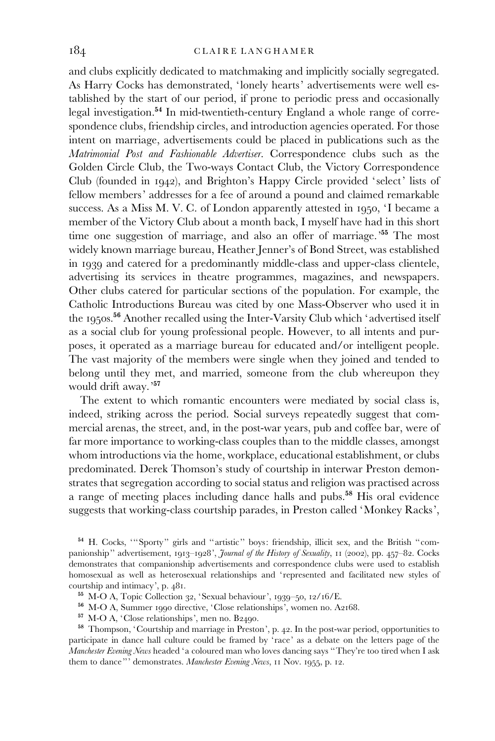and clubs explicitly dedicated to matchmaking and implicitly socially segregated. As Harry Cocks has demonstrated, 'lonely hearts' advertisements were well established by the start of our period, if prone to periodic press and occasionally legal investigation.<sup>54</sup> In mid-twentieth-century England a whole range of correspondence clubs, friendship circles, and introduction agencies operated. For those intent on marriage, advertisements could be placed in publications such as the Matrimonial Post and Fashionable Advertiser. Correspondence clubs such as the Golden Circle Club, the Two-ways Contact Club, the Victory Correspondence Club (founded in 1942), and Brighton's Happy Circle provided ' select' lists of fellow members' addresses for a fee of around a pound and claimed remarkable success. As a Miss M. V. C. of London apparently attested in 1950, 'I became a member of the Victory Club about a month back, I myself have had in this short time one suggestion of marriage, and also an offer of marriage.'<sup>55</sup> The most widely known marriage bureau, Heather Jenner's of Bond Street, was established in 1939 and catered for a predominantly middle-class and upper-class clientele, advertising its services in theatre programmes, magazines, and newspapers. Other clubs catered for particular sections of the population. For example, the Catholic Introductions Bureau was cited by one Mass-Observer who used it in the 1950s.<sup>56</sup> Another recalled using the Inter-Varsity Club which 'advertised itself as a social club for young professional people. However, to all intents and purposes, it operated as a marriage bureau for educated and/or intelligent people. The vast majority of the members were single when they joined and tended to belong until they met, and married, someone from the club whereupon they would drift away.'<sup>57</sup>

The extent to which romantic encounters were mediated by social class is, indeed, striking across the period. Social surveys repeatedly suggest that commercial arenas, the street, and, in the post-war years, pub and coffee bar, were of far more importance to working-class couples than to the middle classes, amongst whom introductions via the home, workplace, educational establishment, or clubs predominated. Derek Thomson's study of courtship in interwar Preston demonstrates that segregation according to social status and religion was practised across a range of meeting places including dance halls and pubs.<sup>58</sup> His oral evidence suggests that working-class courtship parades, in Preston called 'Monkey Racks',

<sup>54</sup> H. Cocks, '''Sporty'' girls and ''artistic'' boys: friendship, illicit sex, and the British ''companionship" advertisement, 1913–1928', Journal of the History of Sexuality, 11 (2002), pp. 457–82. Cocks demonstrates that companionship advertisements and correspondence clubs were used to establish homosexual as well as heterosexual relationships and 'represented and facilitated new styles of courtship and intimacy', p. 481.

- <sup>56</sup> M-O A, Summer 1990 directive, 'Close relationships', women no. A2168.
- <sup>57</sup> M-O A, 'Close relationships', men no. B2490.

<sup>58</sup> Thompson, 'Courtship and marriage in Preston', p. 42. In the post-war period, opportunities to participate in dance hall culture could be framed by 'race' as a debate on the letters page of the Manchester Evening News headed 'a coloured man who loves dancing says "They're too tired when I ask them to dance"' demonstrates. Manchester Evening News, 11 Nov. 1955, p. 12.

<sup>55</sup> M-O A, Topic Collection 32, 'Sexual behaviour', 1939–50, 12/16/E.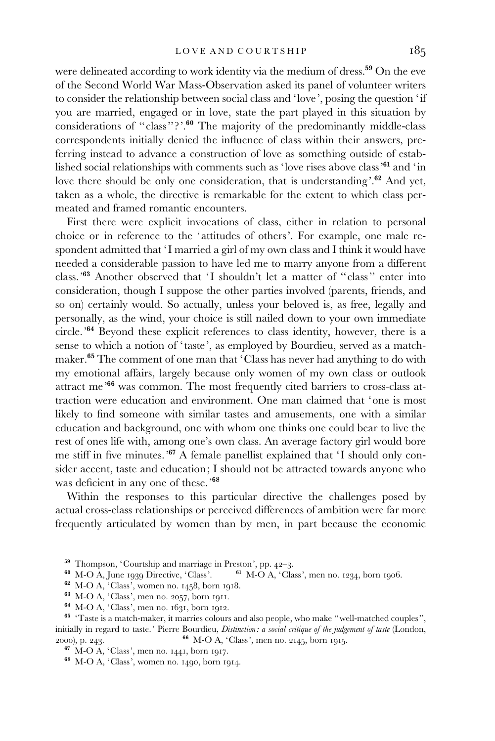were delineated according to work identity via the medium of dress.<sup>59</sup> On the eve of the Second World War Mass-Observation asked its panel of volunteer writers to consider the relationship between social class and 'love', posing the question 'if you are married, engaged or in love, state the part played in this situation by considerations of "class"?'.<sup>60</sup> The majority of the predominantly middle-class correspondents initially denied the influence of class within their answers, preferring instead to advance a construction of love as something outside of established social relationships with comments such as 'love rises above class'<sup>61</sup> and 'in love there should be only one consideration, that is understanding'.<sup>62</sup> And yet, taken as a whole, the directive is remarkable for the extent to which class permeated and framed romantic encounters.

First there were explicit invocations of class, either in relation to personal choice or in reference to the 'attitudes of others'. For example, one male respondent admitted that 'I married a girl of my own class and I think it would have needed a considerable passion to have led me to marry anyone from a different class.'<sup>63</sup> Another observed that 'I shouldn't let a matter of "class" enter into consideration, though I suppose the other parties involved (parents, friends, and so on) certainly would. So actually, unless your beloved is, as free, legally and personally, as the wind, your choice is still nailed down to your own immediate circle.'<sup>64</sup> Beyond these explicit references to class identity, however, there is a sense to which a notion of 'taste', as employed by Bourdieu, served as a matchmaker.<sup>65</sup> The comment of one man that 'Class has never had anything to do with my emotional affairs, largely because only women of my own class or outlook attract me'<sup>66</sup> was common. The most frequently cited barriers to cross-class attraction were education and environment. One man claimed that 'one is most likely to find someone with similar tastes and amusements, one with a similar education and background, one with whom one thinks one could bear to live the rest of ones life with, among one's own class. An average factory girl would bore me stiff in five minutes.<sup>'67</sup> A female panellist explained that 'I should only consider accent, taste and education; I should not be attracted towards anyone who was deficient in any one of these.'<sup>68</sup>

Within the responses to this particular directive the challenges posed by actual cross-class relationships or perceived differences of ambition were far more frequently articulated by women than by men, in part because the economic

- $61$  M-O A, 'Class', men no. 1234, born 1906.
- <sup>62</sup> M-O A, 'Class', women no. 1458, born 1918.
- <sup>63</sup> M-O A, 'Class', men no. 2057, born 1911.
- <sup>64</sup> M-O A, 'Class', men no. 1631, born 1912.

<sup>68</sup> M-O A, 'Class', women no. 1490, born 1914.

<sup>&</sup>lt;sup>59</sup> Thompson, 'Courtship and marriage in Preston', pp. 42–3.<br><sup>60</sup> M-O A, June 1939 Directive, 'Class'. <sup>61</sup> M-O A, 'Cla

<sup>65</sup> 'Taste is a match-maker, it marries colours and also people, who make ''well-matched couples'', initially in regard to taste.' Pierre Bourdieu, Distinction: a social critique of the judgement of taste (London, 2000), p. 243. <sup>66</sup> M-O A, 'Class', men no. 2145, born 1915.

<sup>67</sup> M-O A, 'Class', men no. 1441, born 1917.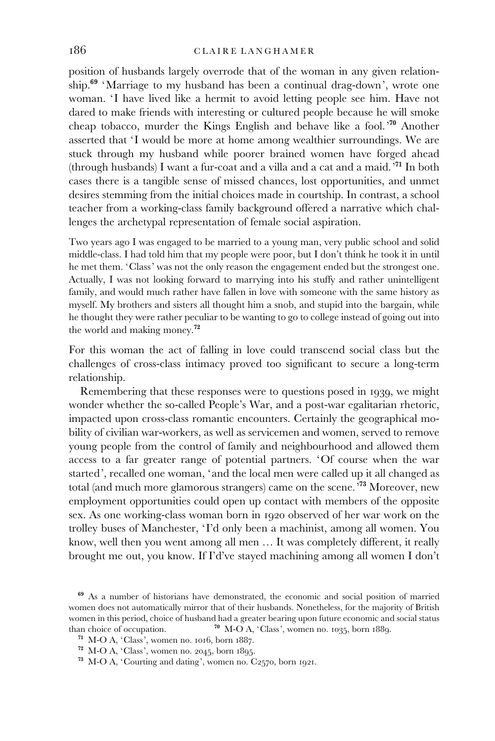position of husbands largely overrode that of the woman in any given relationship.<sup>69</sup> 'Marriage to my husband has been a continual drag-down', wrote one woman. 'I have lived like a hermit to avoid letting people see him. Have not dared to make friends with interesting or cultured people because he will smoke cheap tobacco, murder the Kings English and behave like a fool.'<sup>70</sup> Another asserted that 'I would be more at home among wealthier surroundings. We are stuck through my husband while poorer brained women have forged ahead (through husbands) I want a fur-coat and a villa and a cat and a maid.'<sup>71</sup> In both cases there is a tangible sense of missed chances, lost opportunities, and unmet desires stemming from the initial choices made in courtship. In contrast, a school teacher from a working-class family background offered a narrative which challenges the archetypal representation of female social aspiration.

Two years ago I was engaged to be married to a young man, very public school and solid middle-class. I had told him that my people were poor, but I don't think he took it in until he met them. 'Class' was not the only reason the engagement ended but the strongest one. Actually, I was not looking forward to marrying into his stuffy and rather unintelligent family, and would much rather have fallen in love with someone with the same history as myself. My brothers and sisters all thought him a snob, and stupid into the bargain, while he thought they were rather peculiar to be wanting to go to college instead of going out into the world and making money.<sup>72</sup>

For this woman the act of falling in love could transcend social class but the challenges of cross-class intimacy proved too significant to secure a long-term relationship.

Remembering that these responses were to questions posed in 1939, we might wonder whether the so-called People's War, and a post-war egalitarian rhetoric, impacted upon cross-class romantic encounters. Certainly the geographical mobility of civilian war-workers, as well as servicemen and women, served to remove young people from the control of family and neighbourhood and allowed them access to a far greater range of potential partners. 'Of course when the war started', recalled one woman, 'and the local men were called up it all changed as total (and much more glamorous strangers) came on the scene.'<sup>73</sup> Moreover, new employment opportunities could open up contact with members of the opposite sex. As one working-class woman born in 1920 observed of her war work on the trolley buses of Manchester, 'I'd only been a machinist, among all women. You know, well then you went among all men … It was completely different, it really brought me out, you know. If I'd've stayed machining among all women I don't

<sup>69</sup> As a number of historians have demonstrated, the economic and social position of married women does not automatically mirror that of their husbands. Nonetheless, for the majority of British women in this period, choice of husband had a greater bearing upon future economic and social status than choice of occupation. <sup>70</sup> M-O A, 'Class', women no. 1035, born 1889.  $t^{\text{10}}$  M-O A, 'Class', women no. 1035, born 1889.

<sup>71</sup> M-O A, 'Class', women no. 1016, born 1887.

 $72$  M-O A, 'Class', women no. 2045, born 1895.

<sup>73</sup> M-O A, 'Courting and dating', women no. C2570, born 1921.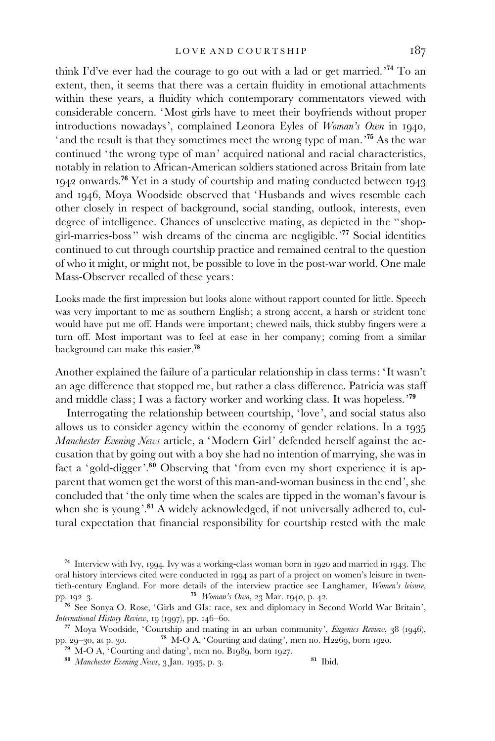think I'd've ever had the courage to go out with a lad or get married.'<sup>74</sup> To an extent, then, it seems that there was a certain fluidity in emotional attachments within these years, a fluidity which contemporary commentators viewed with considerable concern. 'Most girls have to meet their boyfriends without proper introductions nowadays', complained Leonora Eyles of Woman's Own in 1940, 'and the result is that they sometimes meet the wrong type of man.'<sup>75</sup> As the war continued 'the wrong type of man' acquired national and racial characteristics, notably in relation to African-American soldiers stationed across Britain from late 1942 onwards.<sup>76</sup> Yet in a study of courtship and mating conducted between 1943 and 1946, Moya Woodside observed that 'Husbands and wives resemble each other closely in respect of background, social standing, outlook, interests, even degree of intelligence. Chances of unselective mating, as depicted in the "shopgirl-marries-boss'' wish dreams of the cinema are negligible.'<sup>77</sup> Social identities continued to cut through courtship practice and remained central to the question of who it might, or might not, be possible to love in the post-war world. One male Mass-Observer recalled of these years:

Looks made the first impression but looks alone without rapport counted for little. Speech was very important to me as southern English; a strong accent, a harsh or strident tone would have put me off. Hands were important; chewed nails, thick stubby fingers were a turn off. Most important was to feel at ease in her company; coming from a similar background can make this easier.<sup>78</sup>

Another explained the failure of a particular relationship in class terms: ' It wasn't an age difference that stopped me, but rather a class difference. Patricia was staff and middle class; I was a factory worker and working class. It was hopeless.'<sup>79</sup>

Interrogating the relationship between courtship, 'love', and social status also allows us to consider agency within the economy of gender relations. In a 1935 Manchester Evening News article, a 'Modern Girl' defended herself against the accusation that by going out with a boy she had no intention of marrying, she was in fact a 'gold-digger'.<sup>80</sup> Observing that 'from even my short experience it is apparent that women get the worst of this man-and-woman business in the end', she concluded that 'the only time when the scales are tipped in the woman's favour is when she is young'.<sup>81</sup> A widely acknowledged, if not universally adhered to, cultural expectation that financial responsibility for courtship rested with the male

<sup>74</sup> Interview with Ivy, 1994. Ivy was a working-class woman born in 1920 and married in 1943. The oral history interviews cited were conducted in 1994 as part of a project on women's leisure in twentieth-century England. For more details of the interview practice see Langhamer, Women's leisure, pp. 192–3. <sup>75</sup> Woman's Own, 23 Mar. 1940, p. 42.

<sup>76</sup> See Sonya O. Rose, 'Girls and GIs: race, sex and diplomacy in Second World War Britain', International History Review, 19 (1997), pp. 146–60.

<sup>&</sup>lt;sup>77</sup> Moya Woodside, 'Courtship and mating in an urban community', *Eugenics Review*, 38 (1946), pp. 29–30, at p. 30. <sup>78</sup> M-O A, 'Courting and dating', men no. H2269, born 1920. <sup>78</sup> M-O A, 'Courting and dating', men no. H2269, born 1920.

<sup>79</sup> M-O A, 'Courting and dating', men no. B1989, born 1927.

<sup>&</sup>lt;sup>80</sup> Manchester Evening News, 3 Jan. 1935, p. 3. <sup>81</sup> Ibid.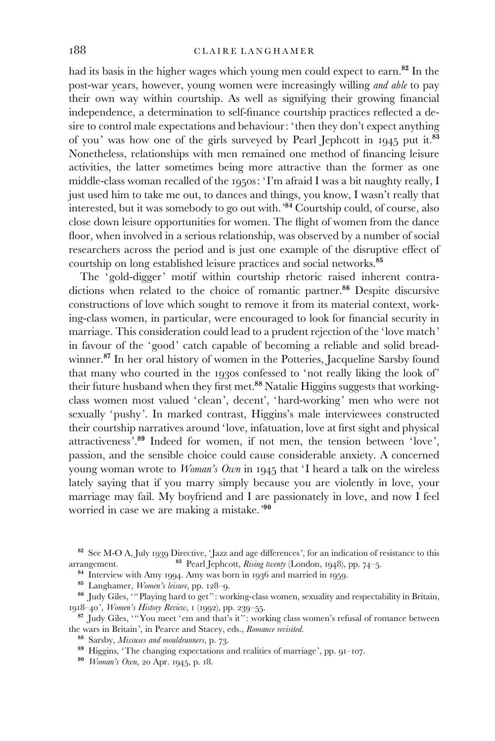had its basis in the higher wages which young men could expect to earn.<sup>82</sup> In the post-war years, however, young women were increasingly willing and able to pay their own way within courtship. As well as signifying their growing financial independence, a determination to self-finance courtship practices reflected a desire to control male expectations and behaviour: 'then they don't expect anything of you' was how one of the girls surveyed by Pearl Jephcott in 1945 put it.<sup>83</sup> Nonetheless, relationships with men remained one method of financing leisure activities, the latter sometimes being more attractive than the former as one middle-class woman recalled of the 1950s: ' I'm afraid I was a bit naughty really, I just used him to take me out, to dances and things, you know, I wasn't really that interested, but it was somebody to go out with.'<sup>84</sup> Courtship could, of course, also close down leisure opportunities for women. The flight of women from the dance floor, when involved in a serious relationship, was observed by a number of social researchers across the period and is just one example of the disruptive effect of courtship on long established leisure practices and social networks.<sup>85</sup>

The 'gold-digger' motif within courtship rhetoric raised inherent contradictions when related to the choice of romantic partner.<sup>86</sup> Despite discursive constructions of love which sought to remove it from its material context, working-class women, in particular, were encouraged to look for financial security in marriage. This consideration could lead to a prudent rejection of the 'love match' in favour of the 'good' catch capable of becoming a reliable and solid breadwinner.<sup>87</sup> In her oral history of women in the Potteries, Jacqueline Sarsby found that many who courted in the 1930s confessed to 'not really liking the look of' their future husband when they first met.<sup>88</sup> Natalie Higgins suggests that workingclass women most valued 'clean', decent', 'hard-working' men who were not sexually 'pushy'. In marked contrast, Higgins's male interviewees constructed their courtship narratives around 'love, infatuation, love at first sight and physical attractiveness'.<sup>89</sup> Indeed for women, if not men, the tension between 'love', passion, and the sensible choice could cause considerable anxiety. A concerned young woman wrote to *Woman's Own* in 1945 that 'I heard a talk on the wireless lately saying that if you marry simply because you are violently in love, your marriage may fail. My boyfriend and I are passionately in love, and now I feel worried in case we are making a mistake.'<sup>90</sup>

82 See M-O A, July 1939 Directive, 'Jazz and age differences', for an indication of resistance to this arrangement. <sup>83</sup> Pearl Jephcott, Rising twenty (London, 1948), pp. 74–5.

<sup>84</sup> Interview with Amy 1994. Amy was born in 1936 and married in 1959.

<sup>85</sup> Langhamer, Women's leisure, pp. 128–9.

<sup>86</sup> Judy Giles, '''Playing hard to get'': working-class women, sexuality and respectability in Britain, 1918–40', Women's History Review, 1 (1992), pp. 239–55.

<sup>87</sup> Judy Giles, '''You meet 'em and that's it'': working class women's refusal of romance between the wars in Britain', in Pearce and Stacey, eds., Romance revisited.

88 Sarsby, Missuses and mouldrunners, p. 73.

<sup>89</sup> Higgins, 'The changing expectations and realities of marriage', pp. 91–107.

<sup>90</sup> Woman's Own, 20 Apr. 1945, p. 18.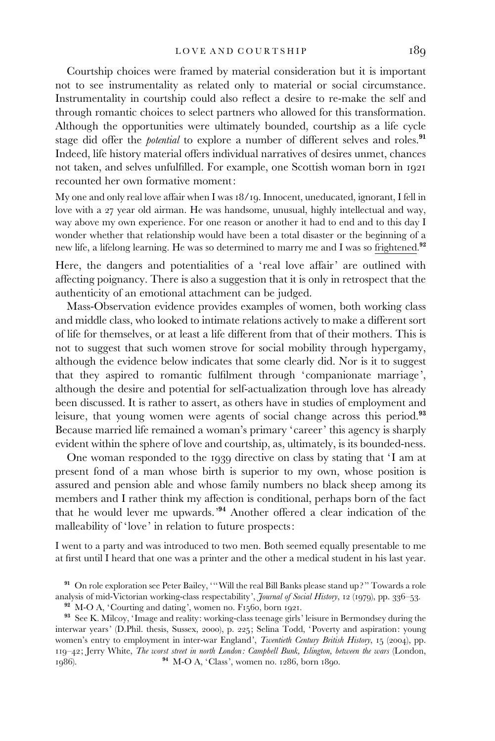Courtship choices were framed by material consideration but it is important not to see instrumentality as related only to material or social circumstance. Instrumentality in courtship could also reflect a desire to re-make the self and through romantic choices to select partners who allowed for this transformation. Although the opportunities were ultimately bounded, courtship as a life cycle stage did offer the *potential* to explore a number of different selves and roles.<sup>91</sup> Indeed, life history material offers individual narratives of desires unmet, chances not taken, and selves unfulfilled. For example, one Scottish woman born in 1921 recounted her own formative moment:

My one and only real love affair when I was 18/19. Innocent, uneducated, ignorant, I fell in love with a 27 year old airman. He was handsome, unusual, highly intellectual and way, way above my own experience. For one reason or another it had to end and to this day I wonder whether that relationship would have been a total disaster or the beginning of a new life, a lifelong learning. He was so determined to marry me and I was so frightened.<sup>92</sup>

Here, the dangers and potentialities of a 'real love affair' are outlined with affecting poignancy. There is also a suggestion that it is only in retrospect that the authenticity of an emotional attachment can be judged.

Mass-Observation evidence provides examples of women, both working class and middle class, who looked to intimate relations actively to make a different sort of life for themselves, or at least a life different from that of their mothers. This is not to suggest that such women strove for social mobility through hypergamy, although the evidence below indicates that some clearly did. Nor is it to suggest that they aspired to romantic fulfilment through 'companionate marriage', although the desire and potential for self-actualization through love has already been discussed. It is rather to assert, as others have in studies of employment and leisure, that young women were agents of social change across this period.<sup>93</sup> Because married life remained a woman's primary 'career' this agency is sharply evident within the sphere of love and courtship, as, ultimately, is its bounded-ness.

One woman responded to the 1939 directive on class by stating that 'I am at present fond of a man whose birth is superior to my own, whose position is assured and pension able and whose family numbers no black sheep among its members and I rather think my affection is conditional, perhaps born of the fact that he would lever me upwards.'<sup>94</sup> Another offered a clear indication of the malleability of 'love' in relation to future prospects:

I went to a party and was introduced to two men. Both seemed equally presentable to me at first until I heard that one was a printer and the other a medical student in his last year.

<sup>91</sup> On role exploration see Peter Bailey, "Will the real Bill Banks please stand up?" Towards a role analysis of mid-Victorian working-class respectability', *Journal of Social History*, 12 (1979), pp. 336–53.

<sup>93</sup> See K. Milcoy, ' Image and reality: working-class teenage girls' leisure in Bermondsey during the interwar years' (D.Phil. thesis, Sussex, 2000), p. 225; Selina Todd, 'Poverty and aspiration: young women's entry to employment in inter-war England', Twentieth Century British History, 15 (2004), pp. 119–42; Jerry White, The worst street in north London: Campbell Bunk, Islington, between the wars (London, 1986). <sup>94</sup> M-O A, 'Class', women no. 1286, born 1890.

<sup>92</sup> M-O A, 'Courting and dating', women no. F1560, born 1921.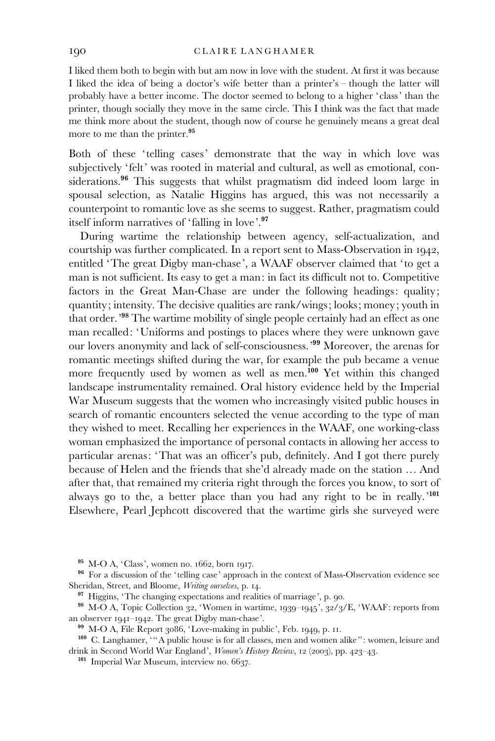I liked them both to begin with but am now in love with the student. At first it was because I liked the idea of being a doctor's wife better than a printer's – though the latter will probably have a better income. The doctor seemed to belong to a higher 'class' than the printer, though socially they move in the same circle. This I think was the fact that made me think more about the student, though now of course he genuinely means a great deal more to me than the printer.<sup>95</sup>

Both of these 'telling cases' demonstrate that the way in which love was subjectively 'felt' was rooted in material and cultural, as well as emotional, considerations.<sup>96</sup> This suggests that whilst pragmatism did indeed loom large in spousal selection, as Natalie Higgins has argued, this was not necessarily a counterpoint to romantic love as she seems to suggest. Rather, pragmatism could itself inform narratives of 'falling in love'.<sup>97</sup>

During wartime the relationship between agency, self-actualization, and courtship was further complicated. In a report sent to Mass-Observation in 1942, entitled 'The great Digby man-chase', a WAAF observer claimed that 'to get a man is not sufficient. Its easy to get a man: in fact its difficult not to. Competitive factors in the Great Man-Chase are under the following headings: quality; quantity; intensity. The decisive qualities are rank/wings; looks; money; youth in that order.'<sup>98</sup> The wartime mobility of single people certainly had an effect as one man recalled: 'Uniforms and postings to places where they were unknown gave our lovers anonymity and lack of self-consciousness.'<sup>99</sup> Moreover, the arenas for romantic meetings shifted during the war, for example the pub became a venue more frequently used by women as well as men.<sup>100</sup> Yet within this changed landscape instrumentality remained. Oral history evidence held by the Imperial War Museum suggests that the women who increasingly visited public houses in search of romantic encounters selected the venue according to the type of man they wished to meet. Recalling her experiences in the WAAF, one working-class woman emphasized the importance of personal contacts in allowing her access to particular arenas: 'That was an officer's pub, definitely. And I got there purely because of Helen and the friends that she'd already made on the station … And after that, that remained my criteria right through the forces you know, to sort of always go to the, a better place than you had any right to be in really.<sup>'101</sup> Elsewhere, Pearl Jephcott discovered that the wartime girls she surveyed were

<sup>95</sup> M-O A, 'Class', women no. 1662, born 1917.

<sup>96</sup> For a discussion of the 'telling case' approach in the context of Mass-Observation evidence see Sheridan, Street, and Bloome, Writing ourselves, p. 14.

<sup>97</sup> Higgins, 'The changing expectations and realities of marriage', p. 90.

<sup>98</sup> M-O A, Topic Collection 32, 'Women in wartime, 1939–1945', 32/3/E, 'WAAF: reports from an observer 1941–1942. The great Digby man-chase'.

<sup>99</sup> M-O A, File Report 3086, 'Love-making in public', Feb. 1949, p. 11.

<sup>100</sup> C. Langhamer, '''A public house is for all classes, men and women alike'': women, leisure and drink in Second World War England', Women's History Review, 12 (2003), pp. 423–43.

<sup>101</sup> Imperial War Museum, interview no. 6637.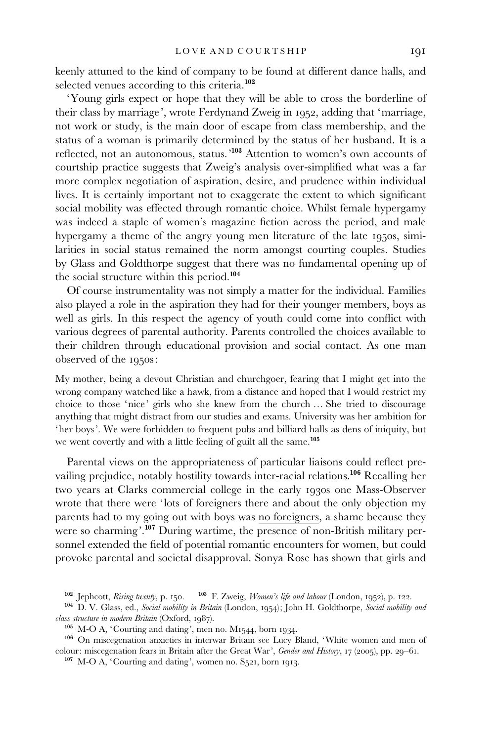keenly attuned to the kind of company to be found at different dance halls, and selected venues according to this criteria.<sup>102</sup>

'Young girls expect or hope that they will be able to cross the borderline of their class by marriage', wrote Ferdynand Zweig in 1952, adding that 'marriage, not work or study, is the main door of escape from class membership, and the status of a woman is primarily determined by the status of her husband. It is a reflected, not an autonomous, status.'<sup>103</sup> Attention to women's own accounts of courtship practice suggests that Zweig's analysis over-simplified what was a far more complex negotiation of aspiration, desire, and prudence within individual lives. It is certainly important not to exaggerate the extent to which significant social mobility was effected through romantic choice. Whilst female hypergamy was indeed a staple of women's magazine fiction across the period, and male hypergamy a theme of the angry young men literature of the late 1950s, similarities in social status remained the norm amongst courting couples. Studies by Glass and Goldthorpe suggest that there was no fundamental opening up of the social structure within this period.<sup>104</sup>

Of course instrumentality was not simply a matter for the individual. Families also played a role in the aspiration they had for their younger members, boys as well as girls. In this respect the agency of youth could come into conflict with various degrees of parental authority. Parents controlled the choices available to their children through educational provision and social contact. As one man observed of the 1950s:

My mother, being a devout Christian and churchgoer, fearing that I might get into the wrong company watched like a hawk, from a distance and hoped that I would restrict my choice to those 'nice' girls who she knew from the church … She tried to discourage anything that might distract from our studies and exams. University was her ambition for 'her boys'. We were forbidden to frequent pubs and billiard halls as dens of iniquity, but we went covertly and with a little feeling of guilt all the same.<sup>105</sup>

Parental views on the appropriateness of particular liaisons could reflect prevailing prejudice, notably hostility towards inter-racial relations.<sup>106</sup> Recalling her two years at Clarks commercial college in the early 1930s one Mass-Observer wrote that there were 'lots of foreigners there and about the only objection my parents had to my going out with boys was no foreigners, a shame because they were so charming'.<sup>107</sup> During wartime, the presence of non-British military personnel extended the field of potential romantic encounters for women, but could provoke parental and societal disapproval. Sonya Rose has shown that girls and

<sup>&</sup>lt;sup>102</sup> Jephcott, *Rising twenty*, p. 150. <sup>103</sup> F. Zweig, *Women's life and labour* (London, 1952), p. 122.

<sup>&</sup>lt;sup>104</sup> D. V. Glass, ed., Social mobility in Britain (London, 1954); John H. Goldthorpe, Social mobility and class structure in modern Britain (Oxford, 1987).

 $105$  M-O A, 'Courting and dating', men no. M1544, born 1934.

<sup>106</sup> On miscegenation anxieties in interwar Britain see Lucy Bland, 'White women and men of colour: miscegenation fears in Britain after the Great War', Gender and History, 17 (2005), pp. 29–61.

<sup>107</sup> M-O A, 'Courting and dating', women no. S521, born 1913.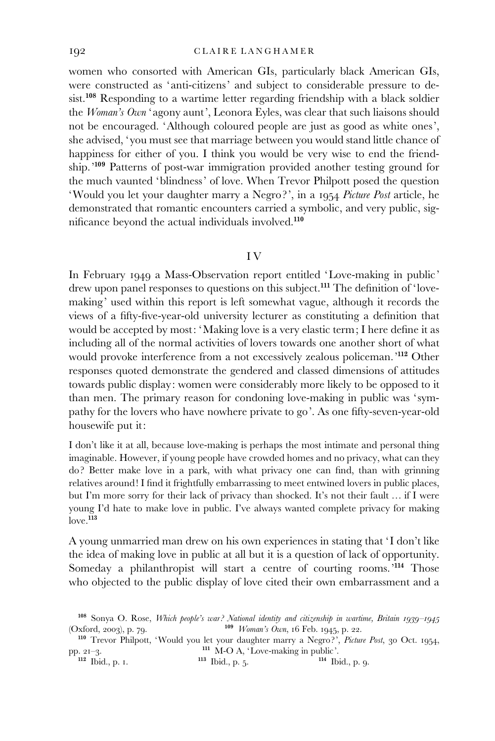women who consorted with American GIs, particularly black American GIs, were constructed as 'anti-citizens' and subject to considerable pressure to desist.<sup>108</sup> Responding to a wartime letter regarding friendship with a black soldier the Woman's Own 'agony aunt', Leonora Eyles, was clear that such liaisons should not be encouraged. 'Although coloured people are just as good as white ones', she advised, 'you must see that marriage between you would stand little chance of happiness for either of you. I think you would be very wise to end the friendship.'<sup>109</sup> Patterns of post-war immigration provided another testing ground for the much vaunted 'blindness' of love. When Trevor Philpott posed the question 'Would you let your daughter marry a Negro ?', in a 1954 Picture Post article, he demonstrated that romantic encounters carried a symbolic, and very public, significance beyond the actual individuals involved.<sup>110</sup>

#### I V

In February 1949 a Mass-Observation report entitled 'Love-making in public' drew upon panel responses to questions on this subject.<sup>111</sup> The definition of 'lovemaking' used within this report is left somewhat vague, although it records the views of a fifty-five-year-old university lecturer as constituting a definition that would be accepted by most: 'Making love is a very elastic term; I here define it as including all of the normal activities of lovers towards one another short of what would provoke interference from a not excessively zealous policeman.'<sup>112</sup> Other responses quoted demonstrate the gendered and classed dimensions of attitudes towards public display: women were considerably more likely to be opposed to it than men. The primary reason for condoning love-making in public was 'sympathy for the lovers who have nowhere private to go'. As one fifty-seven-year-old housewife put it:

I don't like it at all, because love-making is perhaps the most intimate and personal thing imaginable. However, if young people have crowded homes and no privacy, what can they do ? Better make love in a park, with what privacy one can find, than with grinning relatives around! I find it frightfully embarrassing to meet entwined lovers in public places, but I'm more sorry for their lack of privacy than shocked. It's not their fault … if I were young I'd hate to make love in public. I've always wanted complete privacy for making  $love.<sup>113</sup>$ 

A young unmarried man drew on his own experiences in stating that ' I don't like the idea of making love in public at all but it is a question of lack of opportunity. Someday a philanthropist will start a centre of courting rooms.<sup>'114</sup> Those who objected to the public display of love cited their own embarrassment and a

<sup>&</sup>lt;sup>108</sup> Sonya O. Rose, Which people's war? National identity and citizenship in wartime, Britain 1939-1945 (Oxford, 2003), p. 79. 109 Woman's Own, 16 Feb. 1945, p. 22.

<sup>&</sup>lt;sup>110</sup> Trevor Philpott, 'Would you let your daughter marry a Negro?', Picture Post, 30 Oct. 1954, pp. 21–3.  $\begin{array}{ccc}\n\text{11} & \text{M-O A, 'Love-making in public'.}\n\text{12} & \text{Ibid., p. 1.}\n\end{array}$ 

 $113$  Ibid., p. 5.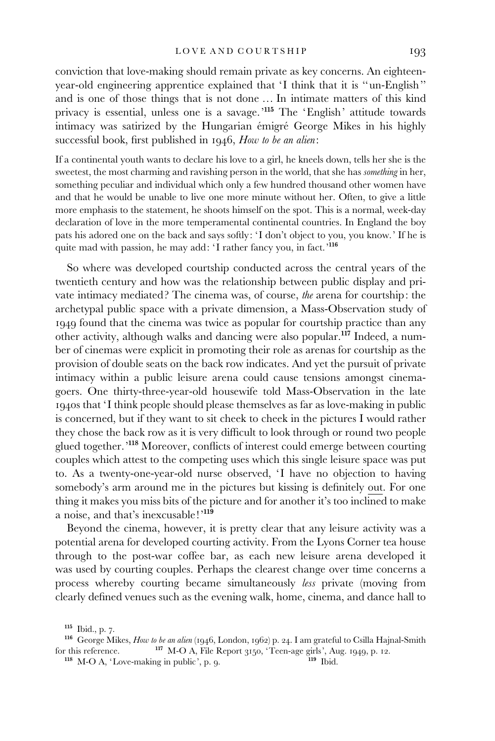conviction that love-making should remain private as key concerns. An eighteenyear-old engineering apprentice explained that 'I think that it is "un-English" and is one of those things that is not done … In intimate matters of this kind privacy is essential, unless one is a savage.'<sup>115</sup> The 'English' attitude towards intimacy was satirized by the Hungarian émigré George Mikes in his highly successful book, first published in 1946, How to be an alien:

If a continental youth wants to declare his love to a girl, he kneels down, tells her she is the sweetest, the most charming and ravishing person in the world, that she has something in her, something peculiar and individual which only a few hundred thousand other women have and that he would be unable to live one more minute without her. Often, to give a little more emphasis to the statement, he shoots himself on the spot. This is a normal, week-day declaration of love in the more temperamental continental countries. In England the boy pats his adored one on the back and says softly: 'I don't object to you, you know.' If he is quite mad with passion, he may add: 'I rather fancy you, in fact.'<sup>116</sup>

So where was developed courtship conducted across the central years of the twentieth century and how was the relationship between public display and private intimacy mediated? The cinema was, of course, the arena for courtship: the archetypal public space with a private dimension, a Mass-Observation study of 1949 found that the cinema was twice as popular for courtship practice than any other activity, although walks and dancing were also popular.<sup>117</sup> Indeed, a number of cinemas were explicit in promoting their role as arenas for courtship as the provision of double seats on the back row indicates. And yet the pursuit of private intimacy within a public leisure arena could cause tensions amongst cinemagoers. One thirty-three-year-old housewife told Mass-Observation in the late 1940s that ' I think people should please themselves as far as love-making in public is concerned, but if they want to sit cheek to cheek in the pictures I would rather they chose the back row as it is very difficult to look through or round two people glued together.'<sup>118</sup> Moreover, conflicts of interest could emerge between courting couples which attest to the competing uses which this single leisure space was put to. As a twenty-one-year-old nurse observed, 'I have no objection to having somebody's arm around me in the pictures but kissing is definitely out. For one thing it makes you miss bits of the picture and for another it's too inclined to make a noise, and that's inexcusable!'<sup>119</sup>

Beyond the cinema, however, it is pretty clear that any leisure activity was a potential arena for developed courting activity. From the Lyons Corner tea house through to the post-war coffee bar, as each new leisure arena developed it was used by courting couples. Perhaps the clearest change over time concerns a process whereby courting became simultaneously less private (moving from clearly defined venues such as the evening walk, home, cinema, and dance hall to

<sup>115</sup> Ibid., p. 7.

<sup>116</sup> George Mikes, How to be an alien (1946, London, 1962) p. 24. I am grateful to Csilla Hajnal-Smith for this reference.  $117 \text{ M-O A}$ , File Report 3150, 'Teen-age girls', Aug. 1949, p. 12.<br> $118 \text{ M-O A}$  'Love-making in public'. p. 0.

 $118$  M-O A, 'Love-making in public', p. 9.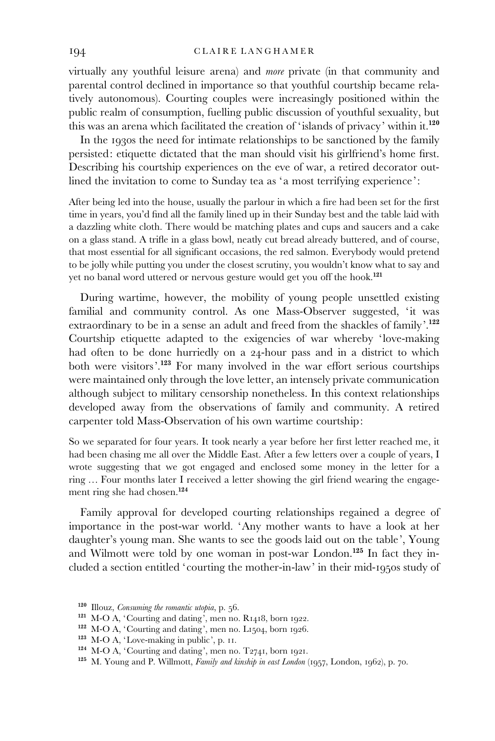virtually any youthful leisure arena) and more private (in that community and parental control declined in importance so that youthful courtship became relatively autonomous). Courting couples were increasingly positioned within the public realm of consumption, fuelling public discussion of youthful sexuality, but this was an arena which facilitated the creation of 'islands of privacy' within it.<sup>120</sup>

In the 1930s the need for intimate relationships to be sanctioned by the family persisted: etiquette dictated that the man should visit his girlfriend's home first. Describing his courtship experiences on the eve of war, a retired decorator outlined the invitation to come to Sunday tea as 'a most terrifying experience':

After being led into the house, usually the parlour in which a fire had been set for the first time in years, you'd find all the family lined up in their Sunday best and the table laid with a dazzling white cloth. There would be matching plates and cups and saucers and a cake on a glass stand. A trifle in a glass bowl, neatly cut bread already buttered, and of course, that most essential for all significant occasions, the red salmon. Everybody would pretend to be jolly while putting you under the closest scrutiny, you wouldn't know what to say and yet no banal word uttered or nervous gesture would get you off the hook.<sup>121</sup>

During wartime, however, the mobility of young people unsettled existing familial and community control. As one Mass-Observer suggested, 'it was extraordinary to be in a sense an adult and freed from the shackles of family'.<sup>122</sup> Courtship etiquette adapted to the exigencies of war whereby 'love-making had often to be done hurriedly on a 24-hour pass and in a district to which both were visitors'.<sup>123</sup> For many involved in the war effort serious courtships were maintained only through the love letter, an intensely private communication although subject to military censorship nonetheless. In this context relationships developed away from the observations of family and community. A retired carpenter told Mass-Observation of his own wartime courtship:

So we separated for four years. It took nearly a year before her first letter reached me, it had been chasing me all over the Middle East. After a few letters over a couple of years, I wrote suggesting that we got engaged and enclosed some money in the letter for a ring … Four months later I received a letter showing the girl friend wearing the engagement ring she had chosen.<sup>124</sup>

Family approval for developed courting relationships regained a degree of importance in the post-war world. 'Any mother wants to have a look at her daughter's young man. She wants to see the goods laid out on the table', Young and Wilmott were told by one woman in post-war London.<sup>125</sup> In fact they included a section entitled 'courting the mother-in-law' in their mid-1950s study of

<sup>120</sup> Illouz, Consuming the romantic utopia, p. 56.

<sup>121</sup> M-O A, 'Courting and dating', men no. R1418, born 1922.

<sup>122</sup> M-O A, 'Courting and dating', men no. L1504, born 1926.

<sup>123</sup> M-O A, 'Love-making in public', p. 11.

<sup>124</sup> M-O A, 'Courting and dating', men no. T2741, born 1921.

<sup>&</sup>lt;sup>125</sup> M. Young and P. Willmott, Family and kinship in east London (1957, London, 1962), p. 70.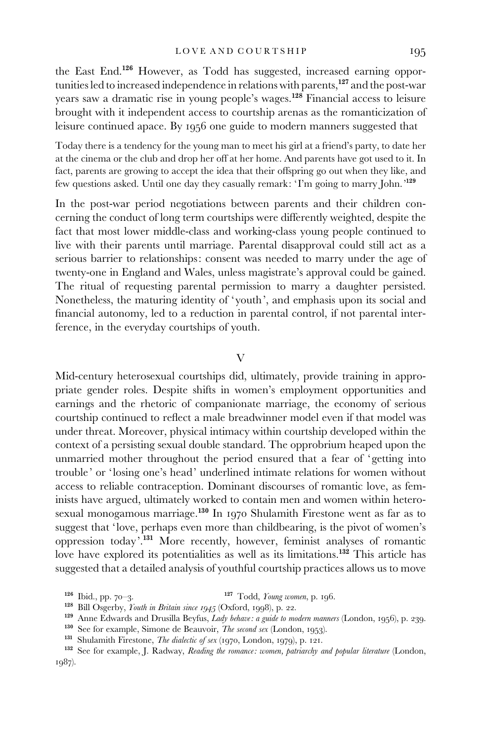the East End.<sup>126</sup> However, as Todd has suggested, increased earning opportunities led to increased independence in relations with parents,<sup>127</sup> and the post-war years saw a dramatic rise in young people's wages.<sup>128</sup> Financial access to leisure brought with it independent access to courtship arenas as the romanticization of leisure continued apace. By 1956 one guide to modern manners suggested that

Today there is a tendency for the young man to meet his girl at a friend's party, to date her at the cinema or the club and drop her off at her home. And parents have got used to it. In fact, parents are growing to accept the idea that their offspring go out when they like, and few questions asked. Until one day they casually remark: 'I'm going to marry John.'<sup>129</sup>

In the post-war period negotiations between parents and their children concerning the conduct of long term courtships were differently weighted, despite the fact that most lower middle-class and working-class young people continued to live with their parents until marriage. Parental disapproval could still act as a serious barrier to relationships: consent was needed to marry under the age of twenty-one in England and Wales, unless magistrate's approval could be gained. The ritual of requesting parental permission to marry a daughter persisted. Nonetheless, the maturing identity of 'youth', and emphasis upon its social and financial autonomy, led to a reduction in parental control, if not parental interference, in the everyday courtships of youth.

V

Mid-century heterosexual courtships did, ultimately, provide training in appropriate gender roles. Despite shifts in women's employment opportunities and earnings and the rhetoric of companionate marriage, the economy of serious courtship continued to reflect a male breadwinner model even if that model was under threat. Moreover, physical intimacy within courtship developed within the context of a persisting sexual double standard. The opprobrium heaped upon the unmarried mother throughout the period ensured that a fear of 'getting into trouble' or 'losing one's head' underlined intimate relations for women without access to reliable contraception. Dominant discourses of romantic love, as feminists have argued, ultimately worked to contain men and women within heterosexual monogamous marriage.<sup>130</sup> In 1970 Shulamith Firestone went as far as to suggest that 'love, perhaps even more than childbearing, is the pivot of women's oppression today'.<sup>131</sup> More recently, however, feminist analyses of romantic love have explored its potentialities as well as its limitations.<sup>132</sup> This article has suggested that a detailed analysis of youthful courtship practices allows us to move

<sup>126</sup> Ibid., pp. 70–3. 127 Todd, Young women, p. 196.

<sup>128</sup> Bill Osgerby, Youth in Britain since 1945 (Oxford, 1998), p. 22.

<sup>&</sup>lt;sup>129</sup> Anne Edwards and Drusilla Beyfus, *Lady behave: a guide to modern manners* (London, 1956), p. 239.

<sup>&</sup>lt;sup>130</sup> See for example, Simone de Beauvoir, *The second sex* (London, 1953).

<sup>&</sup>lt;sup>131</sup> Shulamith Firestone, *The dialectic of sex* (1970, London, 1979), p. 121.

<sup>&</sup>lt;sup>132</sup> See for example, J. Radway, *Reading the romance: women, patriarchy and popular literature* (London, 1987).